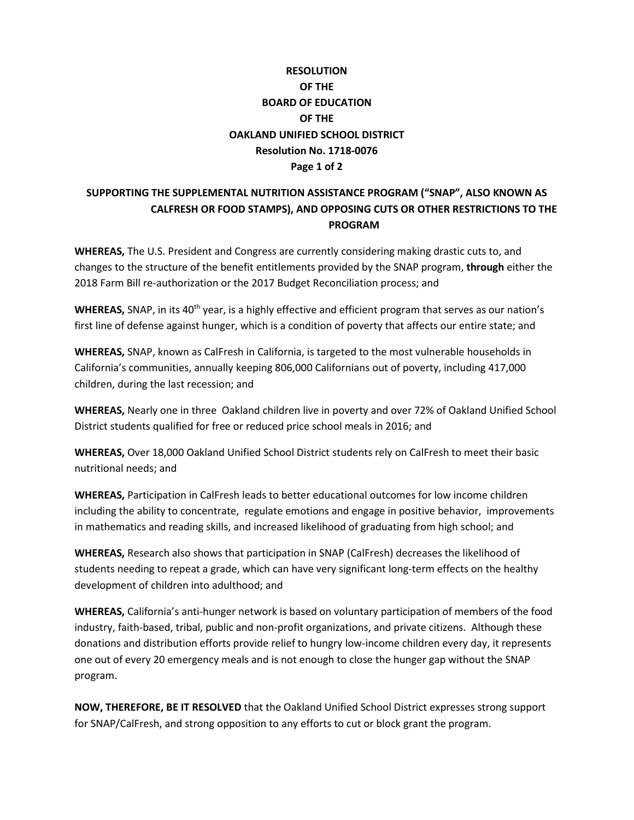# **RESOLUTION OF THE BOARD OF EDUCATION OF THE OAKLAND UNIFIED SCHOOL DISTRICT Resolution No. 1718-0076 Page 1 of 2**

### **SUPPORTING THE SUPPLEMENTAL NUTRITION ASSISTANCE PROGRAM ("SNAP", ALSO KNOWN AS CALFRESH OR FOOD STAMPS), AND OPPOSING CUTS OR OTHER RESTRICTIONS TO THE PROGRAM**

**WHEREAS,** The U.S. President and Congress are currently considering making drastic cuts to, and changes to the structure of the benefit entitlements provided by the SNAP program, **through** either the 2018 Farm Bill re-authorization or the 2017 Budget Reconciliation process; and

WHEREAS, SNAP, in its 40<sup>th</sup> year, is a highly effective and efficient program that serves as our nation's first line of defense against hunger, which is a condition of poverty that affects our entire state; and

**WHEREAS,** SNAP, known as CalFresh in California, is targeted to the most vulnerable households in California's communities, annually keeping 806,000 Californians out of poverty, including 417,000 children, during the last recession; and

**WHEREAS,** Nearly one in three Oakland children live in poverty and over 72% of Oakland Unified School District students qualified for free or reduced price school meals in 2016; and

**WHEREAS,** Over 18,000 Oakland Unified School District students rely on CalFresh to meet their basic nutritional needs; and

**WHEREAS,** Participation in CalFresh leads to better educational outcomes for low income children including the ability to concentrate, regulate emotions and engage in positive behavior, improvements in mathematics and reading skills, and increased likelihood of graduating from high school; and

**WHEREAS,** Research also shows that participation in SNAP (CalFresh) decreases the likelihood of students needing to repeat a grade, which can have very significant long-term effects on the healthy development of children into adulthood; and

**WHEREAS,** California's anti-hunger network is based on voluntary participation of members of the food industry, faith-based, tribal, public and non-profit organizations, and private citizens. Although these donations and distribution efforts provide relief to hungry low-income children every day, it represents one out of every 20 emergency meals and is not enough to close the hunger gap without the SNAP program.

**NOW, THEREFORE, BE IT RESOLVED** that the Oakland Unified School District expresses strong support for SNAP/CalFresh, and strong opposition to any efforts to cut or block grant the program.